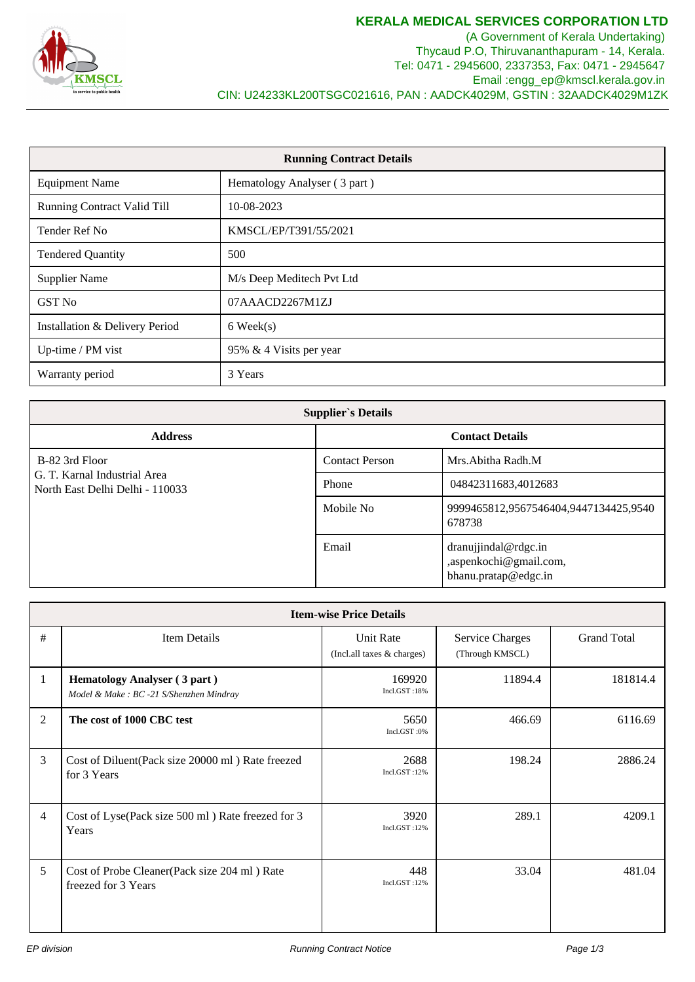

(A Government of Kerala Undertaking) Thycaud P.O, Thiruvananthapuram - 14, Kerala. Tel: 0471 - 2945600, 2337353, Fax: 0471 - 2945647 Email :engg\_ep@kmscl.kerala.gov.in CIN: U24233KL200TSGC021616, PAN : AADCK4029M, GSTIN : 32AADCK4029M1ZK

| <b>Running Contract Details</b>    |                              |  |  |
|------------------------------------|------------------------------|--|--|
| <b>Equipment Name</b>              | Hematology Analyser (3 part) |  |  |
| <b>Running Contract Valid Till</b> | 10-08-2023                   |  |  |
| Tender Ref No                      | KMSCL/EP/T391/55/2021        |  |  |
| <b>Tendered Quantity</b>           | 500                          |  |  |
| <b>Supplier Name</b>               | M/s Deep Meditech Pvt Ltd    |  |  |
| <b>GST No</b>                      | 07AAACD2267M1ZJ              |  |  |
| Installation & Delivery Period     | $6$ Week $(s)$               |  |  |
| Up-time / PM vist                  | 95% & 4 Visits per year      |  |  |
| Warranty period                    | 3 Years                      |  |  |

| <b>Supplier's Details</b>                                       |                        |                                                                        |  |  |  |
|-----------------------------------------------------------------|------------------------|------------------------------------------------------------------------|--|--|--|
| <b>Address</b>                                                  | <b>Contact Details</b> |                                                                        |  |  |  |
| B-82 3rd Floor                                                  | <b>Contact Person</b>  | Mrs. Abitha Radh. M                                                    |  |  |  |
| G. T. Karnal Industrial Area<br>North East Delhi Delhi - 110033 | Phone                  | 04842311683,4012683                                                    |  |  |  |
|                                                                 | Mobile No              | 9999465812,9567546404,9447134425,9540<br>678738                        |  |  |  |
|                                                                 | Email                  | dranujjindal@rdgc.in<br>,aspenkochi@gmail.com,<br>bhanu.pratap@edgc.in |  |  |  |

| <b>Item-wise Price Details</b> |                                                                                |                                         |                                           |                    |  |  |  |  |
|--------------------------------|--------------------------------------------------------------------------------|-----------------------------------------|-------------------------------------------|--------------------|--|--|--|--|
| #                              | <b>Item Details</b>                                                            | Unit Rate<br>(Incl.all taxes & charges) | <b>Service Charges</b><br>(Through KMSCL) | <b>Grand Total</b> |  |  |  |  |
| 1                              | <b>Hematology Analyser (3 part)</b><br>Model & Make: BC -21 S/Shenzhen Mindray | 169920<br>Incl.GST:18%                  | 11894.4                                   | 181814.4           |  |  |  |  |
| 2                              | The cost of 1000 CBC test                                                      | 5650<br>Incl.GST:0%                     | 466.69                                    | 6116.69            |  |  |  |  |
| 3                              | Cost of Diluent(Pack size 20000 ml) Rate freezed<br>for 3 Years                | 2688<br>Incl.GST:12%                    | 198.24                                    | 2886.24            |  |  |  |  |
| $\overline{4}$                 | Cost of Lyse(Pack size 500 ml) Rate freezed for 3<br>Years                     | 3920<br>Incl.GST:12%                    | 289.1                                     | 4209.1             |  |  |  |  |
| 5                              | Cost of Probe Cleaner(Pack size 204 ml) Rate<br>freezed for 3 Years            | 448<br>Incl.GST:12%                     | 33.04                                     | 481.04             |  |  |  |  |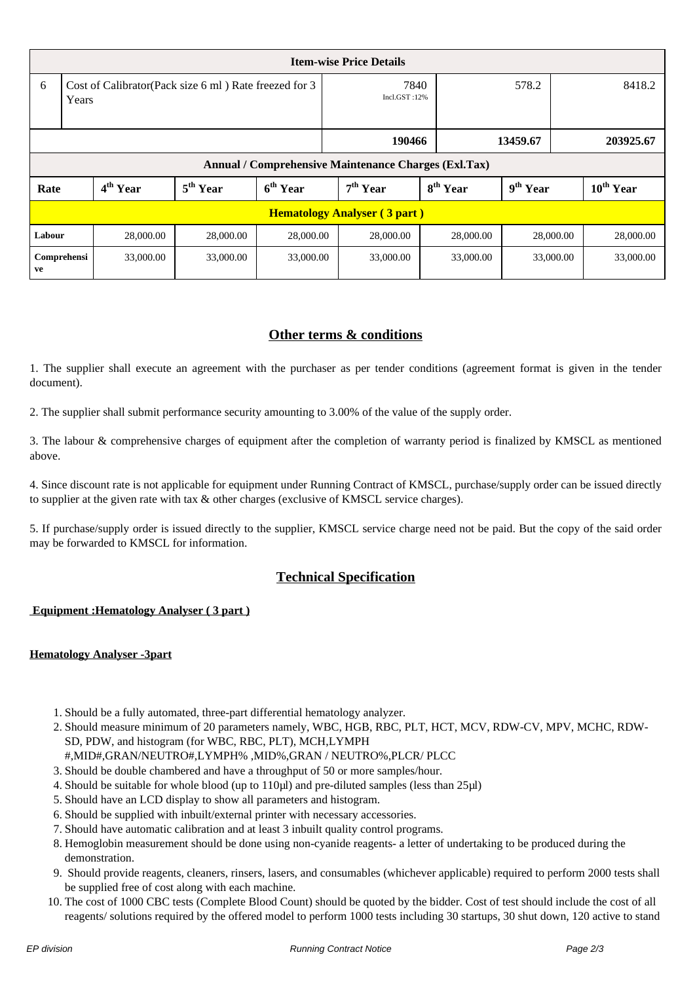| <b>Item-wise Price Details</b>                       |                                                                |                      |                      |                      |                      |                      |                      |                       |
|------------------------------------------------------|----------------------------------------------------------------|----------------------|----------------------|----------------------|----------------------|----------------------|----------------------|-----------------------|
| 6                                                    | Cost of Calibrator(Pack size 6 ml) Rate freezed for 3<br>Years |                      |                      |                      | 7840<br>Incl.GST:12% |                      | 578.2                | 8418.2                |
|                                                      |                                                                |                      |                      | 190466               |                      | 13459.67             | 203925.67            |                       |
| Annual / Comprehensive Maintenance Charges (Exl.Tax) |                                                                |                      |                      |                      |                      |                      |                      |                       |
| Rate                                                 |                                                                | 4 <sup>th</sup> Year | 5 <sup>th</sup> Year | 6 <sup>th</sup> Year | 7 <sup>th</sup> Year | 8 <sup>th</sup> Year | 9 <sup>th</sup> Year | $10^{\text{th}}$ Year |
| <b>Hematology Analyser (3 part)</b>                  |                                                                |                      |                      |                      |                      |                      |                      |                       |
| Labour                                               |                                                                | 28,000.00            | 28,000.00            | 28,000.00            | 28,000.00            | 28,000.00            | 28,000.00            | 28,000.00             |
| ve                                                   | Comprehensi                                                    | 33,000.00            | 33,000.00            | 33,000.00            | 33,000.00            | 33,000.00            | 33,000.00            | 33,000.00             |

## **Other terms & conditions**

1. The supplier shall execute an agreement with the purchaser as per tender conditions (agreement format is given in the tender document).

2. The supplier shall submit performance security amounting to 3.00% of the value of the supply order.

3. The labour & comprehensive charges of equipment after the completion of warranty period is finalized by KMSCL as mentioned above.

4. Since discount rate is not applicable for equipment under Running Contract of KMSCL, purchase/supply order can be issued directly to supplier at the given rate with tax & other charges (exclusive of KMSCL service charges).

5. If purchase/supply order is issued directly to the supplier, KMSCL service charge need not be paid. But the copy of the said order may be forwarded to KMSCL for information.

## **Technical Specification**

## **Equipment :Hematology Analyser ( 3 part )**

## **Hematology Analyser -3part**

- 1. Should be a fully automated, three-part differential hematology analyzer.
- 2. Should measure minimum of 20 parameters namely, WBC, HGB, RBC, PLT, HCT, MCV, RDW-CV, MPV, MCHC, RDW-SD, PDW, and histogram (for WBC, RBC, PLT), MCH,LYMPH
- #,MID#,GRAN/NEUTRO#,LYMPH% ,MID%,GRAN / NEUTRO%,PLCR/ PLCC
- 3. Should be double chambered and have a throughput of 50 or more samples/hour.
- 4. Should be suitable for whole blood (up to 110µl) and pre-diluted samples (less than 25µl)
- 5. Should have an LCD display to show all parameters and histogram.
- 6. Should be supplied with inbuilt/external printer with necessary accessories.
- 7. Should have automatic calibration and at least 3 inbuilt quality control programs.
- 8. Hemoglobin measurement should be done using non-cyanide reagents- a letter of undertaking to be produced during the demonstration.
- 9. Should provide reagents, cleaners, rinsers, lasers, and consumables (whichever applicable) required to perform 2000 tests shall be supplied free of cost along with each machine.
- 10. The cost of 1000 CBC tests (Complete Blood Count) should be quoted by the bidder. Cost of test should include the cost of all reagents/ solutions required by the offered model to perform 1000 tests including 30 startups, 30 shut down, 120 active to stand